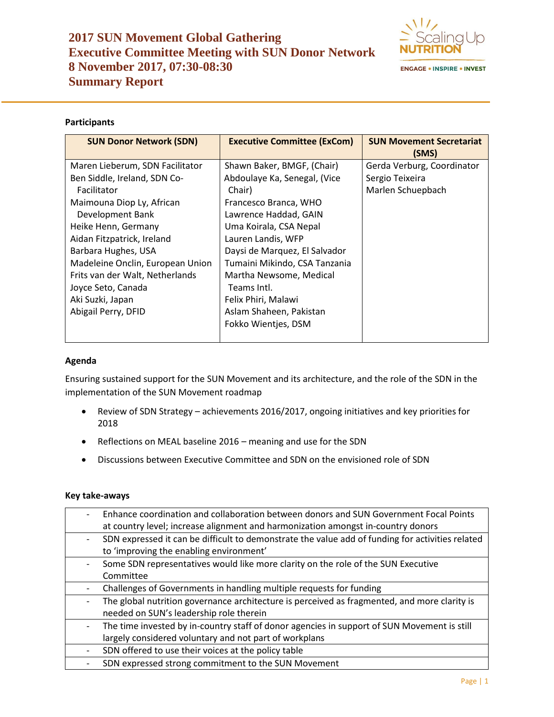# **2017 SUN Movement Global Gathering Executive Committee Meeting with SUN Donor Network 8 November 2017, 07:30-08:30 Summary Report**



# **Participants**

| <b>SUN Donor Network (SDN)</b>   | <b>Executive Committee (ExCom)</b> | <b>SUN Movement Secretariat</b><br>(SMS) |
|----------------------------------|------------------------------------|------------------------------------------|
| Maren Lieberum, SDN Facilitator  | Shawn Baker, BMGF, (Chair)         | Gerda Verburg, Coordinator               |
| Ben Siddle, Ireland, SDN Co-     | Abdoulaye Ka, Senegal, (Vice       | Sergio Teixeira                          |
| Facilitator                      | Chair)                             | Marlen Schuepbach                        |
| Maimouna Diop Ly, African        | Francesco Branca, WHO              |                                          |
| Development Bank                 | Lawrence Haddad, GAIN              |                                          |
| Heike Henn, Germany              | Uma Koirala, CSA Nepal             |                                          |
| Aidan Fitzpatrick, Ireland       | Lauren Landis, WFP                 |                                          |
| Barbara Hughes, USA              | Daysi de Marquez, El Salvador      |                                          |
| Madeleine Onclin, European Union | Tumaini Mikindo, CSA Tanzania      |                                          |
| Frits van der Walt, Netherlands  | Martha Newsome, Medical            |                                          |
| Joyce Seto, Canada               | Teams Intl.                        |                                          |
| Aki Suzki, Japan                 | Felix Phiri, Malawi                |                                          |
| Abigail Perry, DFID              | Aslam Shaheen, Pakistan            |                                          |
|                                  | Fokko Wientjes, DSM                |                                          |
|                                  |                                    |                                          |

### **Agenda**

Ensuring sustained support for the SUN Movement and its architecture, and the role of the SDN in the implementation of the SUN Movement roadmap

- Review of SDN Strategy achievements 2016/2017, ongoing initiatives and key priorities for 2018
- Reflections on MEAL baseline 2016 meaning and use for the SDN
- Discussions between Executive Committee and SDN on the envisioned role of SDN

# **Key take-aways**

|                          | Enhance coordination and collaboration between donors and SUN Government Focal Points            |
|--------------------------|--------------------------------------------------------------------------------------------------|
|                          | at country level; increase alignment and harmonization amongst in-country donors                 |
|                          | SDN expressed it can be difficult to demonstrate the value add of funding for activities related |
|                          | to 'improving the enabling environment'                                                          |
|                          | Some SDN representatives would like more clarity on the role of the SUN Executive                |
|                          | Committee                                                                                        |
|                          | Challenges of Governments in handling multiple requests for funding                              |
|                          | The global nutrition governance architecture is perceived as fragmented, and more clarity is     |
|                          | needed on SUN's leadership role therein                                                          |
| $\overline{\phantom{0}}$ | The time invested by in-country staff of donor agencies in support of SUN Movement is still      |
|                          | largely considered voluntary and not part of workplans                                           |
|                          | SDN offered to use their voices at the policy table                                              |
|                          | SDN expressed strong commitment to the SUN Movement                                              |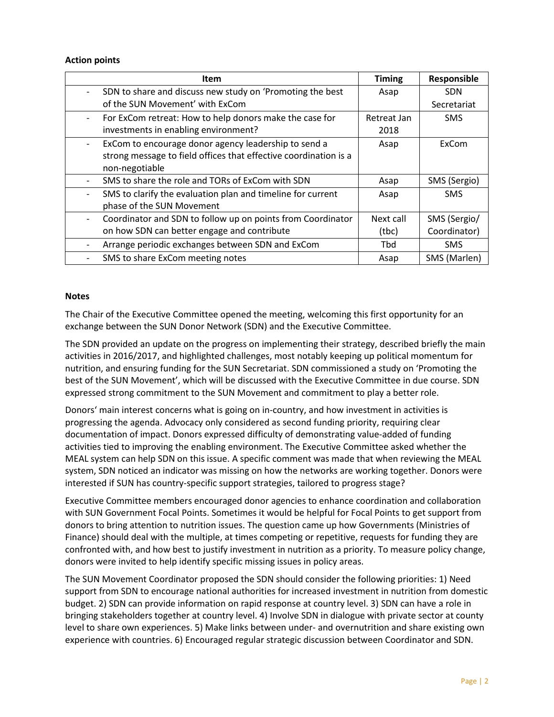#### **Action points**

| Item                                                             | <b>Timing</b> | Responsible  |
|------------------------------------------------------------------|---------------|--------------|
| SDN to share and discuss new study on 'Promoting the best        | Asap          | <b>SDN</b>   |
| of the SUN Movement' with ExCom                                  |               | Secretariat  |
| For ExCom retreat: How to help donors make the case for          | Retreat Jan   | <b>SMS</b>   |
| investments in enabling environment?                             | 2018          |              |
| ExCom to encourage donor agency leadership to send a             | Asap          | ExCom        |
| strong message to field offices that effective coordination is a |               |              |
| non-negotiable                                                   |               |              |
| SMS to share the role and TORs of ExCom with SDN                 | Asap          | SMS (Sergio) |
| SMS to clarify the evaluation plan and timeline for current      | Asap          | <b>SMS</b>   |
| phase of the SUN Movement                                        |               |              |
| Coordinator and SDN to follow up on points from Coordinator      | Next call     | SMS (Sergio/ |
| on how SDN can better engage and contribute                      | (tbc)         | Coordinator) |
| Arrange periodic exchanges between SDN and ExCom                 | <b>Tbd</b>    | <b>SMS</b>   |
| SMS to share ExCom meeting notes                                 | Asap          | SMS (Marlen) |

#### **Notes**

The Chair of the Executive Committee opened the meeting, welcoming this first opportunity for an exchange between the SUN Donor Network (SDN) and the Executive Committee.

The SDN provided an update on the progress on implementing their strategy, described briefly the main activities in 2016/2017, and highlighted challenges, most notably keeping up political momentum for nutrition, and ensuring funding for the SUN Secretariat. SDN commissioned a study on 'Promoting the best of the SUN Movement', which will be discussed with the Executive Committee in due course. SDN expressed strong commitment to the SUN Movement and commitment to play a better role.

Donors' main interest concerns what is going on in-country, and how investment in activities is progressing the agenda. Advocacy only considered as second funding priority, requiring clear documentation of impact. Donors expressed difficulty of demonstrating value-added of funding activities tied to improving the enabling environment. The Executive Committee asked whether the MEAL system can help SDN on this issue. A specific comment was made that when reviewing the MEAL system, SDN noticed an indicator was missing on how the networks are working together. Donors were interested if SUN has country-specific support strategies, tailored to progress stage?

Executive Committee members encouraged donor agencies to enhance coordination and collaboration with SUN Government Focal Points. Sometimes it would be helpful for Focal Points to get support from donors to bring attention to nutrition issues. The question came up how Governments (Ministries of Finance) should deal with the multiple, at times competing or repetitive, requests for funding they are confronted with, and how best to justify investment in nutrition as a priority. To measure policy change, donors were invited to help identify specific missing issues in policy areas.

The SUN Movement Coordinator proposed the SDN should consider the following priorities: 1) Need support from SDN to encourage national authorities for increased investment in nutrition from domestic budget. 2) SDN can provide information on rapid response at country level. 3) SDN can have a role in bringing stakeholders together at country level. 4) Involve SDN in dialogue with private sector at county level to share own experiences. 5) Make links between under- and overnutrition and share existing own experience with countries. 6) Encouraged regular strategic discussion between Coordinator and SDN.